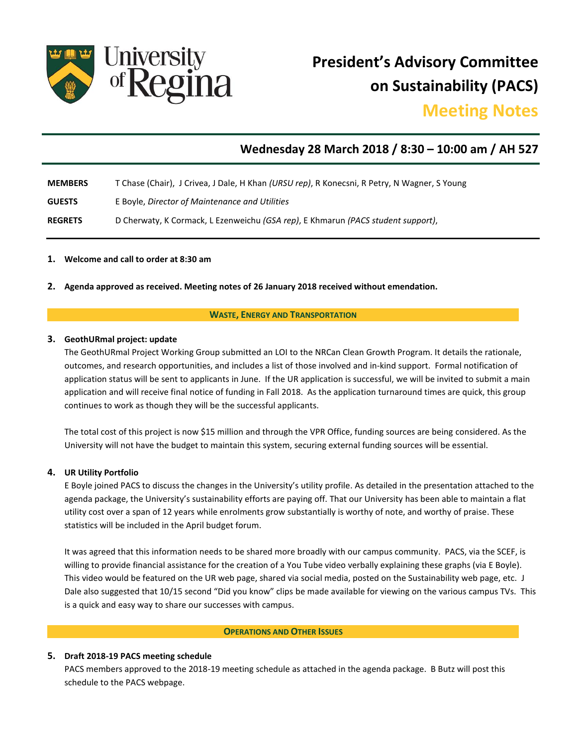

**President's Advisory Committee on Sustainability (PACS)** 

# **Meeting Notes**

# **Wednesday 28 March 2018 / 8:30 – 10:00 am / AH 527**

- **MEMBERS** T Chase (Chair), J Crivea, J Dale, H Khan *(URSU rep)*, R Konecsni, R Petry, N Wagner, S Young
- **GUESTS** E Boyle, *Director of Maintenance and Utilities*
- **REGRETS** D Cherwaty, K Cormack, L Ezenweichu *(GSA rep)*, E Khmarun *(PACS student support)*,

### **1. Welcome and call to order at 8:30 am**

**2. Agenda approved as received. Meeting notes of 26 January 2018 received without emendation.**

#### **WASTE, ENERGY AND TRANSPORTATION**

#### **3. GeothURmal project: update**

The GeothURmal Project Working Group submitted an LOI to the NRCan Clean Growth Program. It details the rationale, outcomes, and research opportunities, and includes a list of those involved and in-kind support. Formal notification of application status will be sent to applicants in June. If the UR application is successful, we will be invited to submit a main application and will receive final notice of funding in Fall 2018. As the application turnaround times are quick, this group continues to work as though they will be the successful applicants.

The total cost of this project is now \$15 million and through the VPR Office, funding sources are being considered. As the University will not have the budget to maintain this system, securing external funding sources will be essential.

#### **4. UR Utility Portfolio**

E Boyle joined PACS to discuss the changes in the University's utility profile. As detailed in the presentation attached to the agenda package, the University's sustainability efforts are paying off. That our University has been able to maintain a flat utility cost over a span of 12 years while enrolments grow substantially is worthy of note, and worthy of praise. These statistics will be included in the April budget forum.

It was agreed that this information needs to be shared more broadly with our campus community. PACS, via the SCEF, is willing to provide financial assistance for the creation of a You Tube video verbally explaining these graphs (via E Boyle). This video would be featured on the UR web page, shared via social media, posted on the Sustainability web page, etc. J Dale also suggested that 10/15 second "Did you know" clips be made available for viewing on the various campus TVs. This is a quick and easy way to share our successes with campus.

# **OPERATIONS AND OTHER ISSUES**

#### **5. Draft 2018-19 PACS meeting schedule**

PACS members approved to the 2018-19 meeting schedule as attached in the agenda package. B Butz will post this schedule to the PACS webpage.